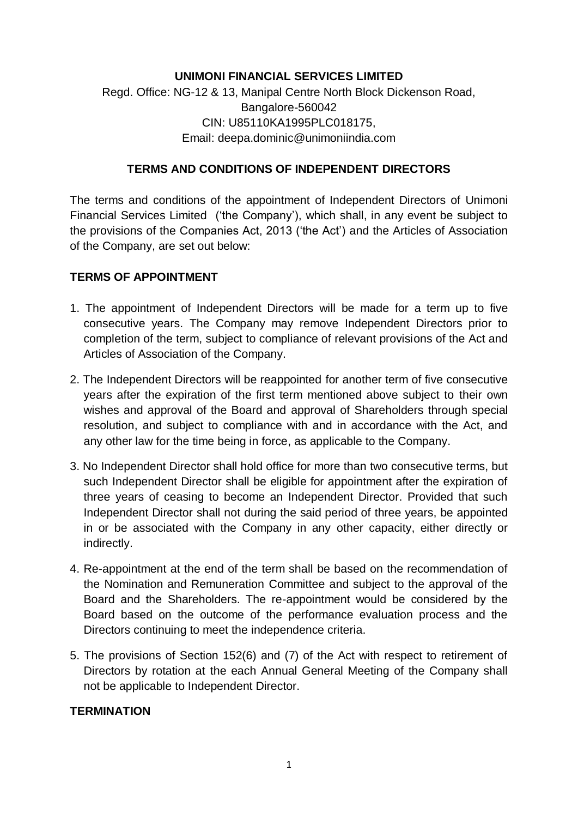# **UNIMONI FINANCIAL SERVICES LIMITED**

# Regd. Office: NG-12 & 13, Manipal Centre North Block Dickenson Road, Bangalore-560042 CIN: U85110KA1995PLC018175, Email: deepa.dominic@unimoniindia.com

#### **TERMS AND CONDITIONS OF INDEPENDENT DIRECTORS**

The terms and conditions of the appointment of Independent Directors of Unimoni Financial Services Limited ('the Company'), which shall, in any event be subject to the provisions of the Companies Act, 2013 ('the Act') and the Articles of Association of the Company, are set out below:

#### **TERMS OF APPOINTMENT**

- 1. The appointment of Independent Directors will be made for a term up to five consecutive years. The Company may remove Independent Directors prior to completion of the term, subject to compliance of relevant provisions of the Act and Articles of Association of the Company.
- 2. The Independent Directors will be reappointed for another term of five consecutive years after the expiration of the first term mentioned above subject to their own wishes and approval of the Board and approval of Shareholders through special resolution, and subject to compliance with and in accordance with the Act, and any other law for the time being in force, as applicable to the Company.
- 3. No Independent Director shall hold office for more than two consecutive terms, but such Independent Director shall be eligible for appointment after the expiration of three years of ceasing to become an Independent Director. Provided that such Independent Director shall not during the said period of three years, be appointed in or be associated with the Company in any other capacity, either directly or indirectly.
- 4. Re-appointment at the end of the term shall be based on the recommendation of the Nomination and Remuneration Committee and subject to the approval of the Board and the Shareholders. The re-appointment would be considered by the Board based on the outcome of the performance evaluation process and the Directors continuing to meet the independence criteria.
- 5. The provisions of Section 152(6) and (7) of the Act with respect to retirement of Directors by rotation at the each Annual General Meeting of the Company shall not be applicable to Independent Director.

#### **TERMINATION**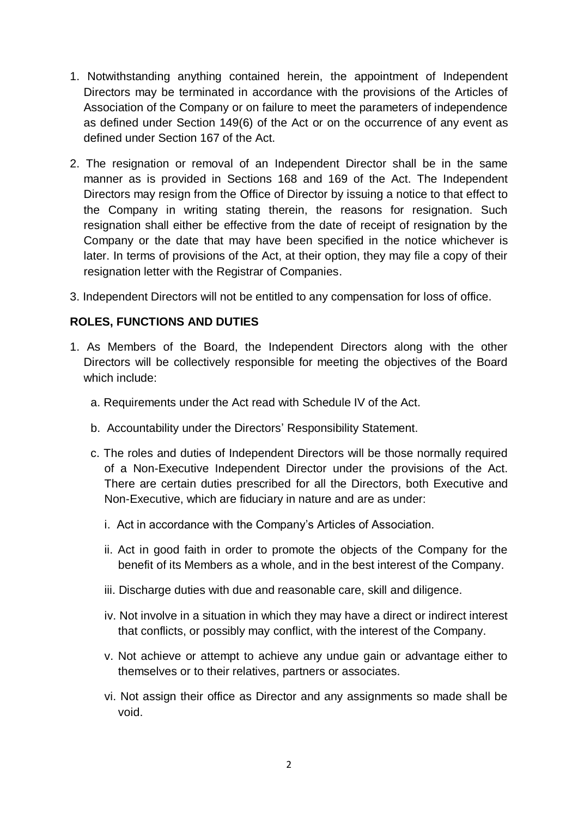- 1. Notwithstanding anything contained herein, the appointment of Independent Directors may be terminated in accordance with the provisions of the Articles of Association of the Company or on failure to meet the parameters of independence as defined under Section 149(6) of the Act or on the occurrence of any event as defined under Section 167 of the Act.
- 2. The resignation or removal of an Independent Director shall be in the same manner as is provided in Sections 168 and 169 of the Act. The Independent Directors may resign from the Office of Director by issuing a notice to that effect to the Company in writing stating therein, the reasons for resignation. Such resignation shall either be effective from the date of receipt of resignation by the Company or the date that may have been specified in the notice whichever is later. In terms of provisions of the Act, at their option, they may file a copy of their resignation letter with the Registrar of Companies.
- 3. Independent Directors will not be entitled to any compensation for loss of office.

## **ROLES, FUNCTIONS AND DUTIES**

- 1. As Members of the Board, the Independent Directors along with the other Directors will be collectively responsible for meeting the objectives of the Board which include:
	- a. Requirements under the Act read with Schedule IV of the Act.
	- b. Accountability under the Directors' Responsibility Statement.
	- c. The roles and duties of Independent Directors will be those normally required of a Non-Executive Independent Director under the provisions of the Act. There are certain duties prescribed for all the Directors, both Executive and Non-Executive, which are fiduciary in nature and are as under:
		- i. Act in accordance with the Company's Articles of Association.
		- ii. Act in good faith in order to promote the objects of the Company for the benefit of its Members as a whole, and in the best interest of the Company.
		- iii. Discharge duties with due and reasonable care, skill and diligence.
		- iv. Not involve in a situation in which they may have a direct or indirect interest that conflicts, or possibly may conflict, with the interest of the Company.
		- v. Not achieve or attempt to achieve any undue gain or advantage either to themselves or to their relatives, partners or associates.
		- vi. Not assign their office as Director and any assignments so made shall be void.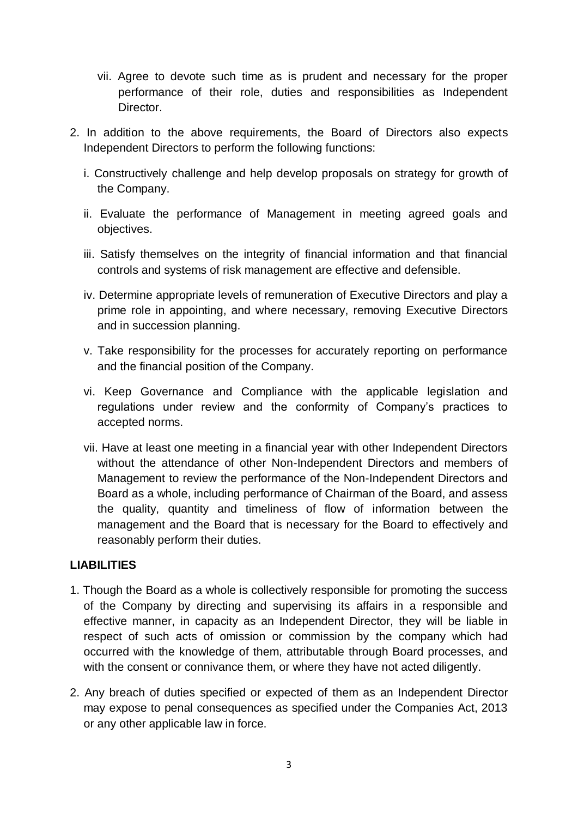- vii. Agree to devote such time as is prudent and necessary for the proper performance of their role, duties and responsibilities as Independent Director.
- 2. In addition to the above requirements, the Board of Directors also expects Independent Directors to perform the following functions:
	- i. Constructively challenge and help develop proposals on strategy for growth of the Company.
	- ii. Evaluate the performance of Management in meeting agreed goals and objectives.
	- iii. Satisfy themselves on the integrity of financial information and that financial controls and systems of risk management are effective and defensible.
	- iv. Determine appropriate levels of remuneration of Executive Directors and play a prime role in appointing, and where necessary, removing Executive Directors and in succession planning.
	- v. Take responsibility for the processes for accurately reporting on performance and the financial position of the Company.
	- vi. Keep Governance and Compliance with the applicable legislation and regulations under review and the conformity of Company's practices to accepted norms.
	- vii. Have at least one meeting in a financial year with other Independent Directors without the attendance of other Non-Independent Directors and members of Management to review the performance of the Non-Independent Directors and Board as a whole, including performance of Chairman of the Board, and assess the quality, quantity and timeliness of flow of information between the management and the Board that is necessary for the Board to effectively and reasonably perform their duties.

## **LIABILITIES**

- 1. Though the Board as a whole is collectively responsible for promoting the success of the Company by directing and supervising its affairs in a responsible and effective manner, in capacity as an Independent Director, they will be liable in respect of such acts of omission or commission by the company which had occurred with the knowledge of them, attributable through Board processes, and with the consent or connivance them, or where they have not acted diligently.
- 2. Any breach of duties specified or expected of them as an Independent Director may expose to penal consequences as specified under the Companies Act, 2013 or any other applicable law in force.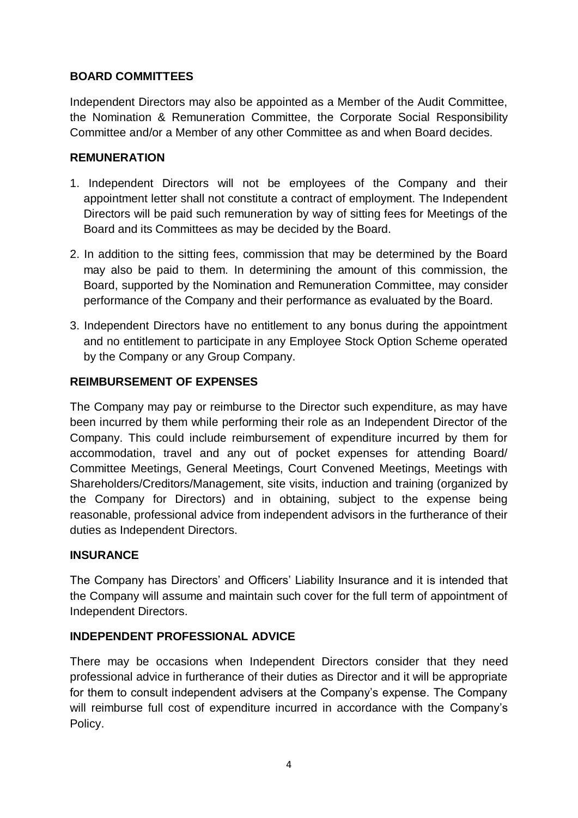## **BOARD COMMITTEES**

Independent Directors may also be appointed as a Member of the Audit Committee, the Nomination & Remuneration Committee, the Corporate Social Responsibility Committee and/or a Member of any other Committee as and when Board decides.

## **REMUNERATION**

- 1. Independent Directors will not be employees of the Company and their appointment letter shall not constitute a contract of employment. The Independent Directors will be paid such remuneration by way of sitting fees for Meetings of the Board and its Committees as may be decided by the Board.
- 2. In addition to the sitting fees, commission that may be determined by the Board may also be paid to them. In determining the amount of this commission, the Board, supported by the Nomination and Remuneration Committee, may consider performance of the Company and their performance as evaluated by the Board.
- 3. Independent Directors have no entitlement to any bonus during the appointment and no entitlement to participate in any Employee Stock Option Scheme operated by the Company or any Group Company.

# **REIMBURSEMENT OF EXPENSES**

The Company may pay or reimburse to the Director such expenditure, as may have been incurred by them while performing their role as an Independent Director of the Company. This could include reimbursement of expenditure incurred by them for accommodation, travel and any out of pocket expenses for attending Board/ Committee Meetings, General Meetings, Court Convened Meetings, Meetings with Shareholders/Creditors/Management, site visits, induction and training (organized by the Company for Directors) and in obtaining, subject to the expense being reasonable, professional advice from independent advisors in the furtherance of their duties as Independent Directors.

## **INSURANCE**

The Company has Directors' and Officers' Liability Insurance and it is intended that the Company will assume and maintain such cover for the full term of appointment of Independent Directors.

## **INDEPENDENT PROFESSIONAL ADVICE**

There may be occasions when Independent Directors consider that they need professional advice in furtherance of their duties as Director and it will be appropriate for them to consult independent advisers at the Company's expense. The Company will reimburse full cost of expenditure incurred in accordance with the Company's Policy.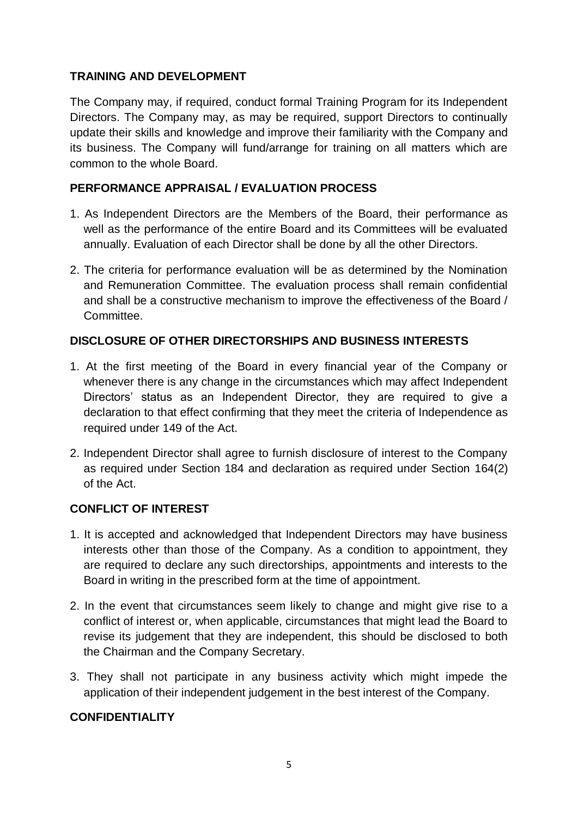## **TRAINING AND DEVELOPMENT**

The Company may, if required, conduct formal Training Program for its Independent Directors. The Company may, as may be required, support Directors to continually update their skills and knowledge and improve their familiarity with the Company and its business. The Company will fund/arrange for training on all matters which are common to the whole Board.

### **PERFORMANCE APPRAISAL / EVALUATION PROCESS**

- 1. As Independent Directors are the Members of the Board, their performance as well as the performance of the entire Board and its Committees will be evaluated annually. Evaluation of each Director shall be done by all the other Directors.
- 2. The criteria for performance evaluation will be as determined by the Nomination and Remuneration Committee. The evaluation process shall remain confidential and shall be a constructive mechanism to improve the effectiveness of the Board / Committee.

#### **DISCLOSURE OF OTHER DIRECTORSHIPS AND BUSINESS INTERESTS**

- 1. At the first meeting of the Board in every financial year of the Company or whenever there is any change in the circumstances which may affect Independent Directors' status as an Independent Director, they are required to give a declaration to that effect confirming that they meet the criteria of Independence as required under 149 of the Act.
- 2. Independent Director shall agree to furnish disclosure of interest to the Company as required under Section 184 and declaration as required under Section 164(2) of the Act.

## **CONFLICT OF INTEREST**

- 1. It is accepted and acknowledged that Independent Directors may have business interests other than those of the Company. As a condition to appointment, they are required to declare any such directorships, appointments and interests to the Board in writing in the prescribed form at the time of appointment.
- 2. In the event that circumstances seem likely to change and might give rise to a conflict of interest or, when applicable, circumstances that might lead the Board to revise its judgement that they are independent, this should be disclosed to both the Chairman and the Company Secretary.
- 3. They shall not participate in any business activity which might impede the application of their independent judgement in the best interest of the Company.

#### **CONFIDENTIALITY**